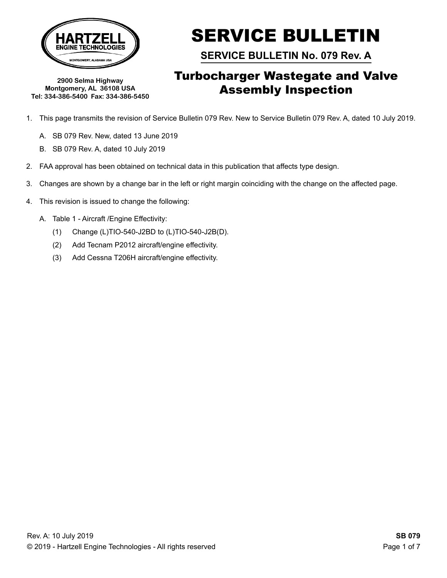

**2900 Selma Highway Montgomery, AL 36108 USA Tel: 334-386-5400 Fax: 334-386-5450** SERVICE BULLETIN

**SERVICE BULLETIN No. 079 Rev. A**

## Turbocharger Wastegate and Valve Assembly Inspection

- 1. This page transmits the revision of Service Bulletin 079 Rev. New to Service Bulletin 079 Rev. A, dated 10 July 2019.
	- A. SB 079 Rev. New, dated 13 June 2019
	- B. SB 079 Rev. A, dated 10 July 2019
- 2. FAA approval has been obtained on technical data in this publication that affects type design.
- 3. Changes are shown by a change bar in the left or right margin coinciding with the change on the affected page.
- 4. This revision is issued to change the following:
	- A. Table 1 Aircraft /Engine Effectivity:
		- (1) Change (L)TIO-540-J2BD to (L)TIO-540-J2B(D).
		- (2) Add Tecnam P2012 aircraft/engine effectivity.
		- (3) Add Cessna T206H aircraft/engine effectivity.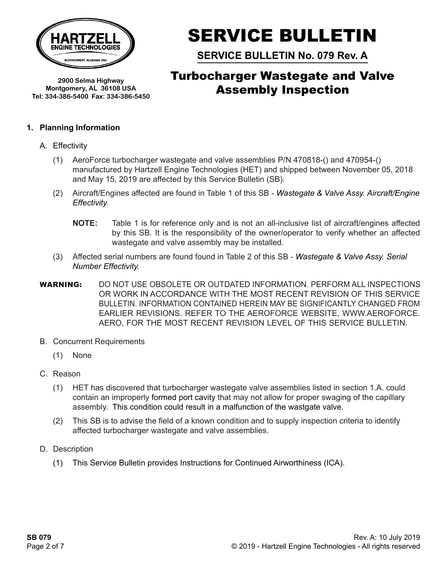

**2900 Selma Highway Montgomery, AL 36108 USA Tel: 334-386-5400 Fax: 334-386-5450**

# SERVICE BULLETIN

**SERVICE BULLETIN No. 079 Rev. A**

## Turbocharger Wastegate and Valve Assembly Inspection

### **1. Planning Information**

- A. Effectivity
	- (1) AeroForce turbocharger wastegate and valve assemblies P/N 470818-() and 470954-() manufactured by Hartzell Engine Technologies (HET) and shipped between November 05, 2018 and May 15, 2019 are affected by this Service Bulletin (SB).
	- (2) Aircraft/Engines affected are found in Table 1 of this SB *Wastegate & Valve Assy. Aircraft/Engine Effectivity.* 
		- **NOTE:** Table 1 is for reference only and is not an all-inclusive list of aircraft/engines affected by this SB. It is the responsibility of the owner/operator to verify whether an affected wastegate and valve assembly may be installed.
	- (3) Affected serial numbers are found found in Table 2 of this SB *Wastegate & Valve Assy. Serial Number Effectivity.*
- WARNING: DO NOT USE OBSOLETE OR OUTDATED INFORMATION. PERFORM ALL INSPECTIONS OR WORK IN ACCORDANCE WITH THE MOST RECENT REVISION OF THIS SERVICE BULLETIN. INFORMATION CONTAINED HEREIN MAY BE SIGNIFICANTLY CHANGED FROM EARLIER REVISIONS. REFER TO THE aeroforce website, WWW.aeroforce. AERO, FOR THE MOST RECENT REVISION LEVEL OF THIS SERVICE BULLETIN.
- B. Concurrent Requirements
	- (1) None
- C. Reason
	- (1) HET has discovered that turbocharger wastegate valve assemblies listed in section 1.A. could contain an improperly formed port cavity that may not allow for proper swaging of the capillary assembly. This condition could result in a malfunction of the wastgate valve.
	- (2) This SB is to advise the field of a known condition and to supply inspection criteria to identify affected turbocharger wastegate and valve assemblies.
- D. Description
	- (1) This Service Bulletin provides Instructions for Continued Airworthiness (ICA).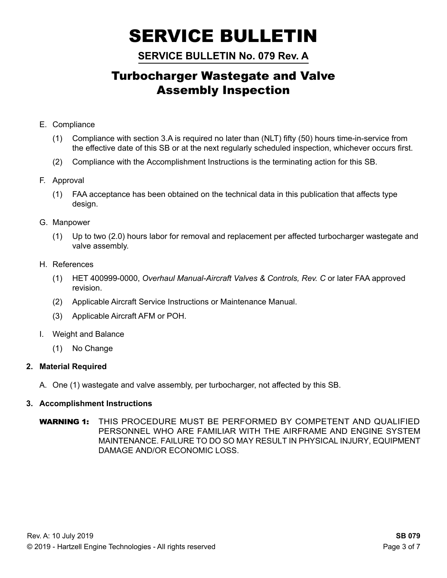**SERVICE BULLETIN No. 079 Rev. A**

## Turbocharger Wastegate and Valve Assembly Inspection

- E. Compliance
	- (1) Compliance with section 3.A is required no later than (NLT) fifty (50) hours time-in-service from the effective date of this SB or at the next regularly scheduled inspection, whichever occurs first.
	- (2) Compliance with the Accomplishment Instructions is the terminating action for this SB.
- F. Approval
	- (1) FAA acceptance has been obtained on the technical data in this publication that affects type design.
- G. Manpower
	- (1) Up to two (2.0) hours labor for removal and replacement per affected turbocharger wastegate and valve assembly.
- H. References
	- (1) HET 400999-0000, *Overhaul Manual-Aircraft Valves & Controls, Rev. C* or later FAA approved revision.
	- (2) Applicable Aircraft Service Instructions or Maintenance Manual.
	- (3) Applicable Aircraft AFM or POH.
- I. Weight and Balance
	- (1) No Change

## **2. Material Required**

A. One (1) wastegate and valve assembly, per turbocharger, not affected by this SB.

## **3. Accomplishment Instructions**

WARNING 1: THIS PROCEDURE MUST BE PERFORMED BY COMPETENT AND QUALIFIED PERSONNEL WHO ARE FAMILIAR WITH THE AIRFRAME and engine SYSTEM MAINTENANCE. FAILURE TO DO SO MAY RESULT IN PHYSICAL INJURY, EQUIPMENT DAMAGE AND/OR ECONOMIC LOSS.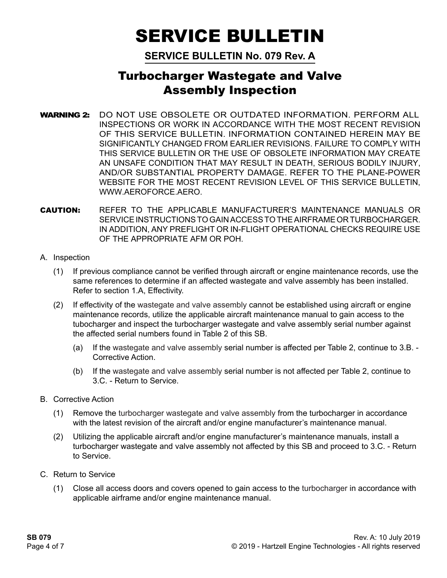**SERVICE BULLETIN No. 079 Rev. A**

## Turbocharger Wastegate and Valve Assembly Inspection

- WARNING 2: DO NOT USE OBSOLETE OR OUTDATED INFORMATION. PERFORM ALL INSPECTIONS OR WORK IN ACCORDANCE WITH THE MOST RECENT REVISION OF THIS SERVICE BULLETIN. INFORMATION CONTAINED HEREIN MAY BE SIGNIFICANTLY CHANGED FROM EARLIER REVISIONS. FAILURE TO COMPLY WITH THIS SERVICE BULLETIN OR THE USE OF OBSOLETE INFORMATION MAY CREATE AN UNSAFE CONDITION THAT MAY RESULT IN DEATH, SERIOUS BODILY INJURY, AND/OR SUBSTANTIAL PROPERTY DAMAGE. REFER TO THE plane-power WEBSITE FOR THE MOST RECENT REVISION LEVEL OF THIS SERVICE BULLETIN, WWW.AEROFORCE.AERO.
- CAUTION: REFER TO THE APPLICABLE MANUFACTURER'S MAINTENANCE MANUALS OR SERVICE INSTRUCTIONS TO GAIN ACCESS TO THE AIRFRAME OR tURBOCHARGER. IN ADDITION, ANY PREFLIGHT OR IN-FLIGHT OPERATIONAL CHECKS REQUIRE USE OF THE APPROPRIATE AFM OR POH.
- A. Inspection
	- (1) If previous compliance cannot be verified through aircraft or engine maintenance records, use the same references to determine if an affected wastegate and valve assembly has been installed. Refer to section 1.A, Effectivity.
	- (2) If effectivity of the wastegate and valve assembly cannot be established using aircraft or engine maintenance records, utilize the applicable aircraft maintenance manual to gain access to the tubocharger and inspect the turbocharger wastegate and valve assembly serial number against the affected serial numbers found in Table 2 of this SB.
		- (a) If the wastegate and valve assembly serial number is affected per Table 2, continue to 3.B. Corrective Action.
		- (b) If the wastegate and valve assembly serial number is not affected per Table 2, continue to 3.C. - Return to Service.
- B. Corrective Action
	- (1) Remove the turbocharger wastegate and valve assembly from the turbocharger in accordance with the latest revision of the aircraft and/or engine manufacturer's maintenance manual.
	- (2) Utilizing the applicable aircraft and/or engine manufacturer's maintenance manuals, install a turbocharger wastegate and valve assembly not affected by this SB and proceed to 3.C. - Return to Service.
- C. Return to Service
	- (1) Close all access doors and covers opened to gain access to the turbocharger in accordance with applicable airframe and/or engine maintenance manual.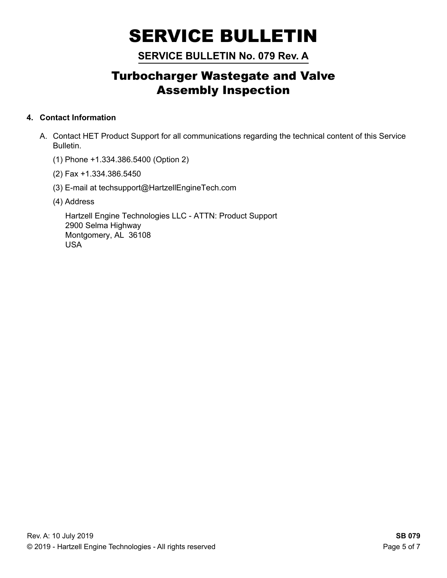## **SERVICE BULLETIN No. 079 Rev. A**

## Turbocharger Wastegate and Valve Assembly Inspection

## **4. Contact Information**

- A. Contact HET Product Support for all communications regarding the technical content of this Service Bulletin.
	- (1) Phone +1.334.386.5400 (Option 2)
	- (2) Fax +1.334.386.5450
	- (3) E-mail at techsupport@HartzellEngineTech.com
	- (4) Address

 Hartzell Engine Technologies LLC - ATTN: Product Support 2900 Selma Highway Montgomery, AL 36108 USA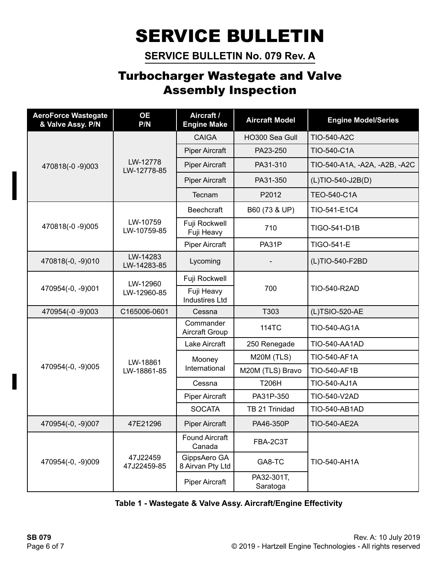**SERVICE BULLETIN No. 079 Rev. A**

## Turbocharger Wastegate and Valve Assembly Inspection

| <b>AeroForce Wastegate</b><br>& Valve Assy. P/N | <b>OE</b><br>P/N        | Aircraft /<br><b>Engine Make</b>    | <b>Aircraft Model</b>  | <b>Engine Model/Series</b>    |  |
|-------------------------------------------------|-------------------------|-------------------------------------|------------------------|-------------------------------|--|
| 470818(-0 -9)003                                | LW-12778<br>LW-12778-85 | <b>CAIGA</b>                        | HO300 Sea Gull         | TIO-540-A2C                   |  |
|                                                 |                         | <b>Piper Aircraft</b>               | PA23-250               | TIO-540-C1A                   |  |
|                                                 |                         | <b>Piper Aircraft</b>               | PA31-310               | TIO-540-A1A, -A2A, -A2B, -A2C |  |
|                                                 |                         | <b>Piper Aircraft</b>               | PA31-350               | (L)TIO-540-J2B(D)             |  |
|                                                 |                         | Tecnam                              | P2012                  | <b>TEO-540-C1A</b>            |  |
| 470818(-0 -9)005                                | LW-10759<br>LW-10759-85 | <b>Beechcraft</b>                   | B60 (73 & UP)          | TIO-541-E1C4                  |  |
|                                                 |                         | Fuji Rockwell<br>Fuji Heavy         | 710                    | TIGO-541-D1B                  |  |
|                                                 |                         | <b>Piper Aircraft</b>               | PA31P                  | <b>TIGO-541-E</b>             |  |
| 470818(-0, -9)010                               | LW-14283<br>LW-14283-85 | Lycoming                            |                        | (L)TIO-540-F2BD               |  |
| 470954(-0, -9)001                               | LW-12960<br>LW-12960-85 | Fuji Rockwell                       |                        | TIO-540-R2AD                  |  |
|                                                 |                         | Fuji Heavy<br><b>Industires Ltd</b> | 700                    |                               |  |
| 470954(-0 -9)003                                | C165006-0601            | Cessna                              | T303                   | (L)TSIO-520-AE                |  |
| 470954(-0, -9)005                               | LW-18861<br>LW-18861-85 | Commander<br>Aircraft Group         | 114TC                  | TIO-540-AG1A                  |  |
|                                                 |                         | Lake Aircraft                       | 250 Renegade           | TIO-540-AA1AD                 |  |
|                                                 |                         | Mooney                              | M20M (TLS)             | TIO-540-AF1A                  |  |
|                                                 |                         | International                       | M20M (TLS) Bravo       | TIO-540-AF1B                  |  |
|                                                 |                         | Cessna                              | T206H                  | TIO-540-AJ1A                  |  |
|                                                 |                         | <b>Piper Aircraft</b>               | PA31P-350              | TIO-540-V2AD                  |  |
|                                                 |                         | <b>SOCATA</b>                       | TB 21 Trinidad         | TIO-540-AB1AD                 |  |
| 470954(-0, -9)007                               | 47E21296                | <b>Piper Aircraft</b>               | PA46-350P              | TIO-540-AE2A                  |  |
| 470954(-0, -9)009                               |                         | <b>Found Aircraft</b><br>Canada     | FBA-2C3T               | TIO-540-AH1A                  |  |
|                                                 | 47J22459<br>47J22459-85 | GippsAero GA<br>8 Airvan Pty Ltd    | GA8-TC                 |                               |  |
|                                                 |                         | <b>Piper Aircraft</b>               | PA32-301T,<br>Saratoga |                               |  |

## **Table 1 - Wastegate & Valve Assy. Aircraft/Engine Effectivity**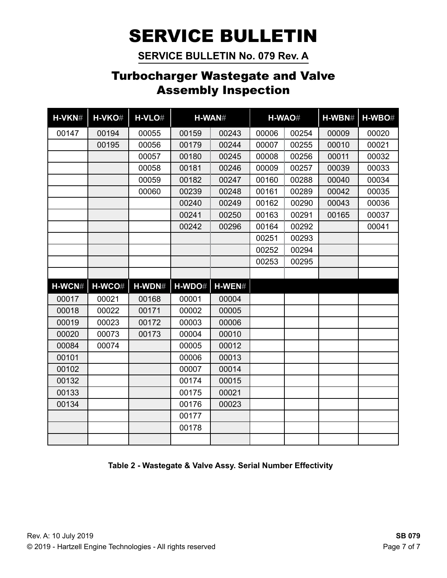**SERVICE BULLETIN No. 079 Rev. A**

## Turbocharger Wastegate and Valve Assembly Inspection

| H-VKN# | H-VKO# | H-VLO# |        | H-WAN#   |       | H-WAO# | H-WBN# | H-WBO# |
|--------|--------|--------|--------|----------|-------|--------|--------|--------|
| 00147  | 00194  | 00055  | 00159  | 00243    | 00006 | 00254  | 00009  | 00020  |
|        | 00195  | 00056  | 00179  | 00244    | 00007 | 00255  | 00010  | 00021  |
|        |        | 00057  | 00180  | 00245    | 00008 | 00256  | 00011  | 00032  |
|        |        | 00058  | 00181  | 00246    | 00009 | 00257  | 00039  | 00033  |
|        |        | 00059  | 00182  | 00247    | 00160 | 00288  | 00040  | 00034  |
|        |        | 00060  | 00239  | 00248    | 00161 | 00289  | 00042  | 00035  |
|        |        |        | 00240  | 00249    | 00162 | 00290  | 00043  | 00036  |
|        |        |        | 00241  | 00250    | 00163 | 00291  | 00165  | 00037  |
|        |        |        | 00242  | 00296    | 00164 | 00292  |        | 00041  |
|        |        |        |        |          | 00251 | 00293  |        |        |
|        |        |        |        |          | 00252 | 00294  |        |        |
|        |        |        |        |          | 00253 | 00295  |        |        |
|        |        |        |        |          |       |        |        |        |
| H-WCN# | H-WCO# | H-WDN# | H-WDO# | $H-WEN#$ |       |        |        |        |
| 00017  | 00021  | 00168  | 00001  | 00004    |       |        |        |        |
| 00018  | 00022  | 00171  | 00002  | 00005    |       |        |        |        |
| 00019  | 00023  | 00172  | 00003  | 00006    |       |        |        |        |
| 00020  | 00073  | 00173  | 00004  | 00010    |       |        |        |        |
| 00084  | 00074  |        | 00005  | 00012    |       |        |        |        |
| 00101  |        |        | 00006  | 00013    |       |        |        |        |
| 00102  |        |        | 00007  | 00014    |       |        |        |        |
| 00132  |        |        | 00174  | 00015    |       |        |        |        |
| 00133  |        |        | 00175  | 00021    |       |        |        |        |
| 00134  |        |        | 00176  | 00023    |       |        |        |        |
|        |        |        | 00177  |          |       |        |        |        |
|        |        |        | 00178  |          |       |        |        |        |
|        |        |        |        |          |       |        |        |        |

**Table 2 - Wastegate & Valve Assy. Serial Number Effectivity**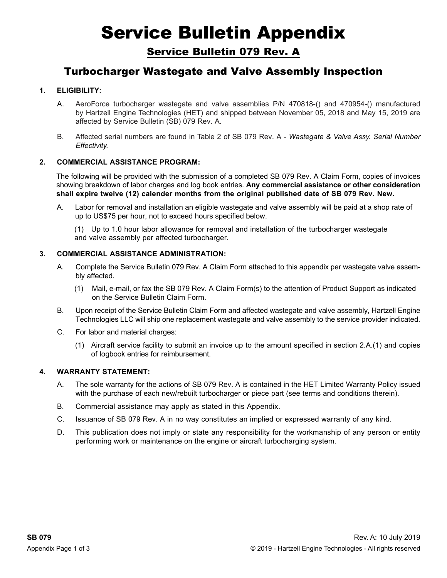# Service Bulletin Appendix

Service Bulletin 079 Rev. A

## Turbocharger Wastegate and Valve Assembly Inspection

### **1. Eligibility:**

- A. AeroForce turbocharger wastegate and valve assemblies P/N 470818-() and 470954-() manufactured by Hartzell Engine Technologies (HET) and shipped between November 05, 2018 and May 15, 2019 are affected by Service Bulletin (SB) 079 Rev. A.
- B. Affected serial numbers are found in Table 2 of SB 079 Rev. A *Wastegate & Valve Assy. Serial Number Effectivity.*

#### **2. Commercial Assistance Program:**

The following will be provided with the submission of a completed SB 079 Rev. A Claim Form, copies of invoices showing breakdown of labor charges and log book entries. **Any commercial assistance or other consideration shall expire twelve (12) calender months from the original published date of SB 079 Rev. New.**

- A. Labor for removal and installation an eligible wastegate and valve assembly will be paid at a shop rate of up to US\$75 per hour, not to exceed hours specified below.
	- (1) Up to 1.0 hour labor allowance for removal and installation of the turbocharger wastegate and valve assembly per affected turbocharger.

#### **3. Commercial Assistance ADMINISTRATION:**

- A. Complete the Service Bulletin 079 Rev. A Claim Form attached to this appendix per wastegate valve assembly affected.
	- (1) Mail, e-mail, or fax the SB 079 Rev. A Claim Form(s) to the attention of Product Support as indicated on the Service Bulletin Claim Form.
- B. Upon receipt of the Service Bulletin Claim Form and affected wastegate and valve assembly, Hartzell Engine Technologies LLC will ship one replacement wastegate and valve assembly to the service provider indicated.
- C. For labor and material charges:
	- (1) Aircraft service facility to submit an invoice up to the amount specified in section 2.A.(1) and copies of logbook entries for reimbursement.

#### **4. WARRANTY STATEMENT:**

- A. The sole warranty for the actions of SB 079 Rev. A is contained in the HET Limited Warranty Policy issued with the purchase of each new/rebuilt turbocharger or piece part (see terms and conditions therein).
- B. Commercial assistance may apply as stated in this Appendix.
- C. Issuance of SB 079 Rev. A in no way constitutes an implied or expressed warranty of any kind.
- D. This publication does not imply or state any responsibility for the workmanship of any person or entity performing work or maintenance on the engine or aircraft turbocharging system.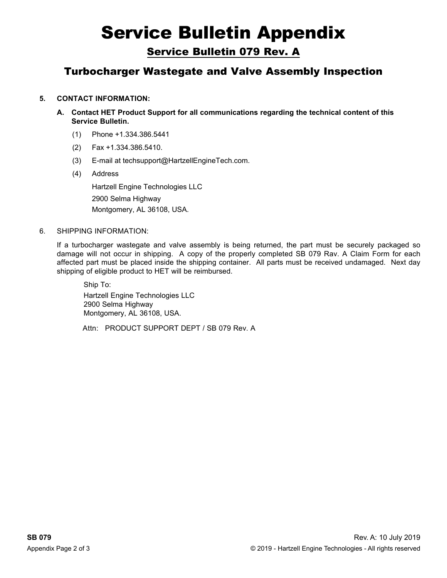# Service Bulletin Appendix

Service Bulletin 079 Rev. A

## Turbocharger Wastegate and Valve Assembly Inspection

### **5. contact information:**

- **A. Contact HET Product Support for all communications regarding the technical content of this Service Bulletin.** 
	- (1) Phone +1.334.386.5441
	- (2) Fax +1.334.386.5410.
	- (3) E-mail at techsupport@HartzellEngineTech.com.
	- (4) Address

Hartzell Engine Technologies LLC 2900 Selma Highway Montgomery, AL 36108, USA.

#### 6. Shipping information:

If a turbocharger wastegate and valve assembly is being returned, the part must be securely packaged so damage will not occur in shipping. A copy of the properly completed SB 079 Rav. A Claim Form for each affected part must be placed inside the shipping container. All parts must be received undamaged. Next day shipping of eligible product to HET will be reimbursed.

Ship To: Hartzell Engine Technologies LLC 2900 Selma Highway Montgomery, AL 36108, USA.

Attn: PRODUCT SUPPORT DEPT / SB 079 Rev. A